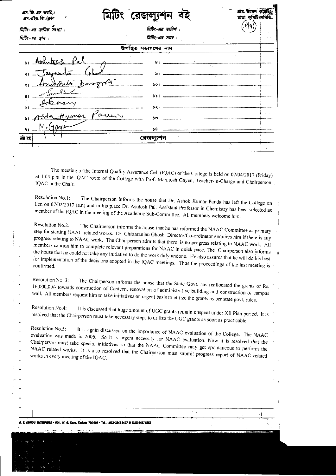| এস. এইচ. জি./ক্লাব         | মিটং রেজল্যু             | মাতা কমিটি/সমি |
|----------------------------|--------------------------|----------------|
| মিটিং-এর ক্রমিক সংখ্যা :   | মিটিং-এর তারিখ :         |                |
| মিটিং-এর স্থান :           | त्रिটिर-এর সময় :        |                |
|                            | তে সভ্যগণের নাম          |                |
|                            | ы                        |                |
|                            |                          |                |
| <u> Devec</u><br>$\bullet$ |                          |                |
| 8 <sub>1</sub>             | >> i                     |                |
| Q<br>Memor Paris<br>৬।     | <b>&gt;&gt;</b> 1<br>ЪĆ. |                |
| M.(100<br>۹۱               |                          |                |
| नीर क्षेत्                 |                          |                |

The meeting of the Internal Quality Assurance Cell (IQAC) of the College is held on 07/04/2017 (Friday) at 1.05 p.m in the IQAC room of the College with Prof. Mahitosh Gayen, Teacher-in-Charge and Chairperson, IQAC in the Chair.

Resolution No.1: The Chairperson informs the house that Dr. Ashok Kumar Panda has left the College on lien on 07/02/2017 (a.n) and in his place Dr. Asutosh Pal, Assistant Professor in Chemistry has been selected as member of the IQAC in the meeting of the Academic Sub-Committee. All members welcome him.

Resolution No.2: The Chairperson informs the house that he has reformed the NAAC Committee as primary step for starting NAAC related works. Dr. Chittaranjan Ghosh, Director/Co-ordinator enquires him if there is any progress relating to NAAC work. The Chairperson admits that there is no progress relating to NAAC work. All members caution him to complete relevant preparations for NAAC in quick pace. The Chairperson also informs the house that he could not take any initiative to do the work duly undone. He also assures that he will do his best for implementation of the decisions adopted in the IQAC meetings. Thus the proceedings of the last meeting is

Resolution No. 3: The Chairperson informs the house that the State Govt. has reallocated the grants of Rs. 16,000,00/- towards construction of Canteen, renovation of administrative building and construction of campus wall. All members request him to take initiatives on urgent basis to utilize the grants as per state govt. rules.

Resolution No.4: It is discussed that huge amount of UGC grants remain unspent under XII Plan period. It is resolved that the Chairperson must take necessary steps to utilize the UGC grants as soon as practicable.

Resolution No.5: It is again discussed on the importance of NAAC evaluation of the College. The NAAC evaluation was made in 2006. So it is urgent necessity for NAAC evaluation. Now it is resolved that the Chairperson must take special initiatives so that the NAAC Committee may get spontaneous to perform the NAAC related works. It is also resolved that the Chairperson must submit progress report of NAAC related works in every meeting of the IQAC.

÷.

.<br>R. KUMDU ENTERPRISE + 62/1, M. G. Rosd, Kollata 700 009 = Tel. : (033) 2241 8407 & (033) 8467 8862